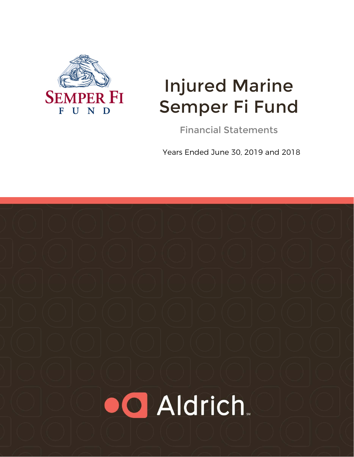

# Injured Marine Semper Fi Fund

Financial Statements

Years Ended June 30, 2019 and 2018

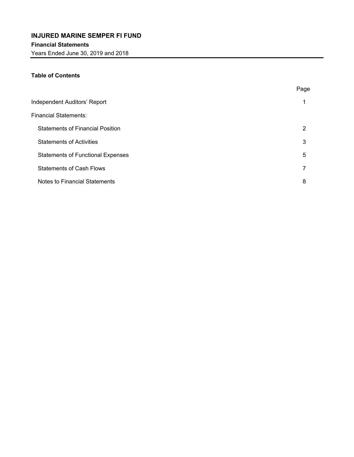# **Financial Statements**

Years Ended June 30, 2019 and 2018

# **Table of Contents**

|                                          | Page |
|------------------------------------------|------|
| Independent Auditors' Report             |      |
| Financial Statements:                    |      |
| <b>Statements of Financial Position</b>  | 2    |
| <b>Statements of Activities</b>          | 3    |
| <b>Statements of Functional Expenses</b> | 5    |
| <b>Statements of Cash Flows</b>          |      |
| Notes to Financial Statements            | 8    |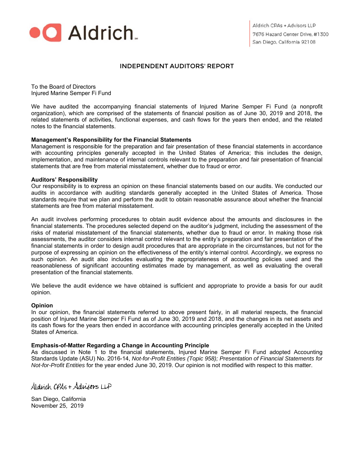

## INDEPENDENT AUDITORS' REPORT

To the Board of Directors Injured Marine Semper Fi Fund

We have audited the accompanying financial statements of Injured Marine Semper Fi Fund (a nonprofit organization), which are comprised of the statements of financial position as of June 30, 2019 and 2018, the related statements of activities, functional expenses, and cash flows for the years then ended, and the related notes to the financial statements.

#### **Management's Responsibility for the Financial Statements**

Management is responsible for the preparation and fair presentation of these financial statements in accordance with accounting principles generally accepted in the United States of America; this includes the design, implementation, and maintenance of internal controls relevant to the preparation and fair presentation of financial statements that are free from material misstatement, whether due to fraud or error.

#### **Auditors' Responsibility**

Our responsibility is to express an opinion on these financial statements based on our audits. We conducted our audits in accordance with auditing standards generally accepted in the United States of America. Those standards require that we plan and perform the audit to obtain reasonable assurance about whether the financial statements are free from material misstatement.

An audit involves performing procedures to obtain audit evidence about the amounts and disclosures in the financial statements. The procedures selected depend on the auditor's judgment, including the assessment of the risks of material misstatement of the financial statements, whether due to fraud or error. In making those risk assessments, the auditor considers internal control relevant to the entity's preparation and fair presentation of the financial statements in order to design audit procedures that are appropriate in the circumstances, but not for the purpose of expressing an opinion on the effectiveness of the entity's internal control. Accordingly, we express no such opinion. An audit also includes evaluating the appropriateness of accounting policies used and the reasonableness of significant accounting estimates made by management, as well as evaluating the overall presentation of the financial statements.

We believe the audit evidence we have obtained is sufficient and appropriate to provide a basis for our audit opinion.

#### **Opinion**

In our opinion, the financial statements referred to above present fairly, in all material respects, the financial position of Injured Marine Semper Fi Fund as of June 30, 2019 and 2018, and the changes in its net assets and its cash flows for the years then ended in accordance with accounting principles generally accepted in the United States of America.

## **Emphasis-of-Matter Regarding a Change in Accounting Principle**

As discussed in Note  $\overline{1}$  to the financial statements, Injured Marine Semper Fi Fund adopted Accounting Standards Update (ASU) No. 2016-14, *Not-for-Profit Entities (Topic 958); Presentation of Financial Statements for Not-for-Profit Entities* for the year ended June 30, 2019. Our opinion is not modified with respect to this matter.

Aldrich CPAs + Adrisons LLP

San Diego, California November 25, 2019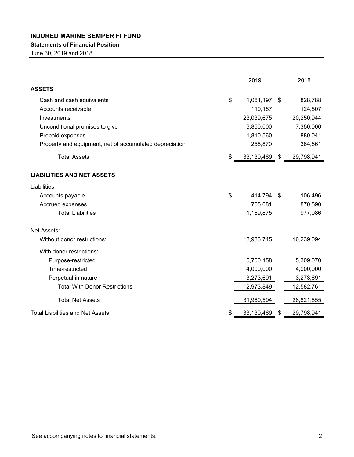# **Statements of Financial Position**

June 30, 2019 and 2018

|                                                         | 2019             | 2018             |
|---------------------------------------------------------|------------------|------------------|
| <b>ASSETS</b>                                           |                  |                  |
| Cash and cash equivalents                               | \$<br>1,061,197  | \$<br>828,788    |
| Accounts receivable                                     | 110,167          | 124,507          |
| Investments                                             | 23,039,675       | 20,250,944       |
| Unconditional promises to give                          | 6,850,000        | 7,350,000        |
| Prepaid expenses                                        | 1,810,560        | 880,041          |
| Property and equipment, net of accumulated depreciation | 258,870          | 364,661          |
| <b>Total Assets</b>                                     | \$<br>33,130,469 | \$<br>29,798,941 |
| <b>LIABILITIES AND NET ASSETS</b>                       |                  |                  |
| Liabilities:                                            |                  |                  |
| Accounts payable                                        | \$<br>414,794    | \$<br>106,496    |
| Accrued expenses                                        | 755,081          | 870,590          |
| <b>Total Liabilities</b>                                | 1,169,875        | 977,086          |
| Net Assets:                                             |                  |                  |
| Without donor restrictions:                             | 18,986,745       | 16,239,094       |
| With donor restrictions:                                |                  |                  |
| Purpose-restricted                                      | 5,700,158        | 5,309,070        |
| Time-restricted                                         | 4,000,000        | 4,000,000        |
| Perpetual in nature                                     | 3,273,691        | 3,273,691        |
| <b>Total With Donor Restrictions</b>                    | 12,973,849       | 12,582,761       |
| <b>Total Net Assets</b>                                 | 31,960,594       | 28,821,855       |
| <b>Total Liabilities and Net Assets</b>                 | \$<br>33,130,469 | \$<br>29,798,941 |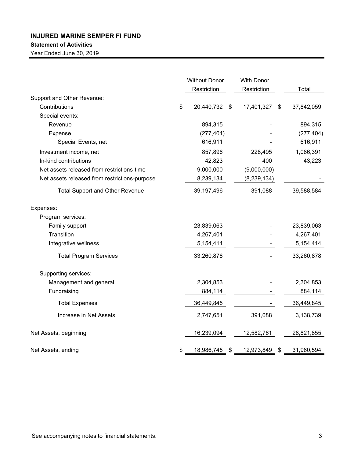## **Statement of Activities**

|                                               | <b>Without Donor</b><br>Restriction |    | With Donor<br>Restriction |    | Total      |
|-----------------------------------------------|-------------------------------------|----|---------------------------|----|------------|
| Support and Other Revenue:                    |                                     |    |                           |    |            |
| Contributions                                 | \$<br>20,440,732                    | S  | 17,401,327                | S  | 37,842,059 |
| Special events:                               |                                     |    |                           |    |            |
| Revenue                                       | 894,315                             |    |                           |    | 894,315    |
| Expense                                       | (277, 404)                          |    |                           |    | (277, 404) |
| Special Events, net                           | 616,911                             |    |                           |    | 616,911    |
| Investment income, net                        | 857,896                             |    | 228,495                   |    | 1,086,391  |
| In-kind contributions                         | 42,823                              |    | 400                       |    | 43,223     |
| Net assets released from restrictions-time    | 9,000,000                           |    | (9,000,000)               |    |            |
| Net assets released from restrictions-purpose | 8,239,134                           |    | (8, 239, 134)             |    |            |
| <b>Total Support and Other Revenue</b>        | 39,197,496                          |    | 391,088                   |    | 39,588,584 |
| Expenses:                                     |                                     |    |                           |    |            |
| Program services:                             |                                     |    |                           |    |            |
| Family support                                | 23,839,063                          |    |                           |    | 23,839,063 |
| Transition                                    | 4,267,401                           |    |                           |    | 4,267,401  |
| Integrative wellness                          | 5,154,414                           |    |                           |    | 5,154,414  |
| <b>Total Program Services</b>                 | 33,260,878                          |    |                           |    | 33,260,878 |
| Supporting services:                          |                                     |    |                           |    |            |
| Management and general                        | 2,304,853                           |    |                           |    | 2,304,853  |
| Fundraising                                   | 884,114                             |    |                           |    | 884,114    |
| <b>Total Expenses</b>                         | 36,449,845                          |    |                           |    | 36,449,845 |
| Increase in Net Assets                        | 2,747,651                           |    | 391,088                   |    | 3,138,739  |
| Net Assets, beginning                         | 16,239,094                          |    | 12,582,761                |    | 28,821,855 |
| Net Assets, ending                            | \$<br>18,986,745                    | \$ | 12,973,849                | \$ | 31,960,594 |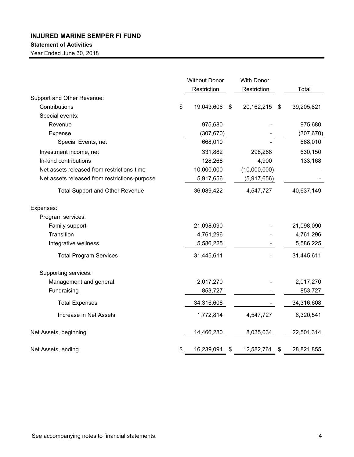## **Statement of Activities**

|                                               | <b>Without Donor</b><br>Restriction | <b>With Donor</b><br>Restriction | Total            |
|-----------------------------------------------|-------------------------------------|----------------------------------|------------------|
| Support and Other Revenue:                    |                                     |                                  |                  |
| Contributions                                 | \$<br>19,043,606                    | \$<br>20, 162, 215               | \$<br>39,205,821 |
| Special events:                               |                                     |                                  |                  |
| Revenue                                       | 975,680                             |                                  | 975,680          |
| Expense                                       | (307, 670)                          |                                  | (307, 670)       |
| Special Events, net                           | 668,010                             |                                  | 668,010          |
| Investment income, net                        | 331,882                             | 298,268                          | 630,150          |
| In-kind contributions                         | 128,268                             | 4,900                            | 133,168          |
| Net assets released from restrictions-time    | 10,000,000                          | (10,000,000)                     |                  |
| Net assets released from restrictions-purpose | 5,917,656                           | (5,917,656)                      |                  |
| <b>Total Support and Other Revenue</b>        | 36,089,422                          | 4,547,727                        | 40,637,149       |
| Expenses:                                     |                                     |                                  |                  |
| Program services:                             |                                     |                                  |                  |
| Family support                                | 21,098,090                          |                                  | 21,098,090       |
| Transition                                    | 4,761,296                           |                                  | 4,761,296        |
| Integrative wellness                          | 5,586,225                           |                                  | 5,586,225        |
| <b>Total Program Services</b>                 | 31,445,611                          |                                  | 31,445,611       |
| Supporting services:                          |                                     |                                  |                  |
| Management and general                        | 2,017,270                           |                                  | 2,017,270        |
| Fundraising                                   | 853,727                             |                                  | 853,727          |
| <b>Total Expenses</b>                         | 34,316,608                          |                                  | 34,316,608       |
| Increase in Net Assets                        | 1,772,814                           | 4,547,727                        | 6,320,541        |
| Net Assets, beginning                         | 14,466,280                          | 8,035,034                        | 22,501,314       |
| Net Assets, ending                            | \$<br>16,239,094                    | \$<br>12,582,761                 | \$<br>28,821,855 |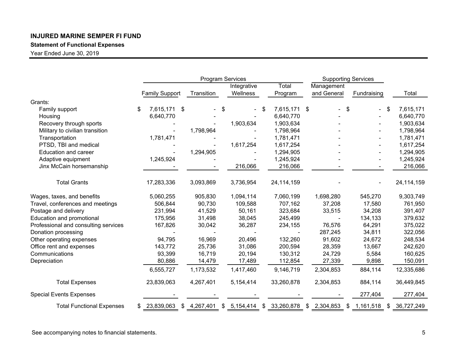# **Statement of Functional Expenses**

|                                      |                       |              |            | <b>Program Services</b> |    | <b>Supporting Services</b> |                 |                 |                  |
|--------------------------------------|-----------------------|--------------|------------|-------------------------|----|----------------------------|-----------------|-----------------|------------------|
|                                      |                       |              |            | Integrative             |    | Total                      | Management      |                 |                  |
|                                      | <b>Family Support</b> |              | Transition | Wellness                |    | Program                    | and General     | Fundraising     | Total            |
| Grants:                              |                       |              |            |                         |    |                            |                 |                 |                  |
| Family support                       | \$                    | 7,615,171 \$ |            | \$                      |    | 7,615,171                  | \$              | \$<br>ä,        | \$<br>7,615,171  |
| Housing                              | 6,640,770             |              |            |                         |    | 6,640,770                  |                 |                 | 6,640,770        |
| Recovery through sports              |                       |              |            | 1,903,634               |    | 1,903,634                  |                 |                 | 1,903,634        |
| Military to civilian transition      |                       |              | 1,798,964  |                         |    | 1,798,964                  |                 |                 | 1,798,964        |
| Transportation                       | 1,781,471             |              |            |                         |    | 1,781,471                  |                 |                 | 1,781,471        |
| PTSD, TBI and medical                |                       |              |            | 1,617,254               |    | 1,617,254                  |                 |                 | 1,617,254        |
| <b>Education and career</b>          |                       |              | 1,294,905  |                         |    | 1,294,905                  |                 |                 | 1,294,905        |
| Adaptive equipment                   | 1,245,924             |              |            |                         |    | 1,245,924                  |                 |                 | 1,245,924        |
| Jinx McCain horsemanship             |                       |              |            | 216,066                 |    | 216,066                    |                 |                 | 216,066          |
| <b>Total Grants</b>                  | 17,283,336            |              | 3,093,869  | 3,736,954               |    | 24, 114, 159               |                 |                 | 24,114,159       |
| Wages, taxes, and benefits           | 5,060,255             |              | 905,830    | 1,094,114               |    | 7,060,199                  | 1,698,280       | 545,270         | 9,303,749        |
| Travel, conferences and meetings     |                       | 506,844      | 90,730     | 109,588                 |    | 707,162                    | 37,208          | 17,580          | 761,950          |
| Postage and delivery                 |                       | 231,994      | 41,529     | 50,161                  |    | 323,684                    | 33,515          | 34,208          | 391,407          |
| Education and promotional            |                       | 175,956      | 31,498     | 38,045                  |    | 245,499                    |                 | 134,133         | 379,632          |
| Professional and consulting services |                       | 167,826      | 30,042     | 36,287                  |    | 234,155                    | 76,576          | 64,291          | 375,022          |
| Donation processing                  |                       |              |            |                         |    |                            | 287,245         | 34,811          | 322,056          |
| Other operating expenses             |                       | 94,795       | 16,969     | 20,496                  |    | 132,260                    | 91,602          | 24,672          | 248,534          |
| Office rent and expenses             |                       | 143,772      | 25,736     | 31,086                  |    | 200,594                    | 28,359          | 13,667          | 242,620          |
| Communications                       |                       | 93,399       | 16,719     | 20,194                  |    | 130,312                    | 24,729          | 5,584           | 160,625          |
| Depreciation                         |                       | 80,886       | 14,479     | 17,489                  |    | 112,854                    | 27,339          | 9,898           | 150,091          |
|                                      | 6,555,727             |              | 1,173,532  | 1,417,460               |    | 9,146,719                  | 2,304,853       | 884,114         | 12,335,686       |
| <b>Total Expenses</b>                | 23,839,063            |              | 4,267,401  | 5,154,414               |    | 33,260,878                 | 2,304,853       | 884,114         | 36,449,845       |
| <b>Special Events Expenses</b>       |                       |              |            |                         |    |                            |                 | 277,404         | 277,404          |
| <b>Total Functional Expenses</b>     | 23,839,063<br>\$      | \$           | 4,267,401  | \$<br>5,154,414         | \$ | 33,260,878                 | \$<br>2,304,853 | \$<br>1,161,518 | \$<br>36,727,249 |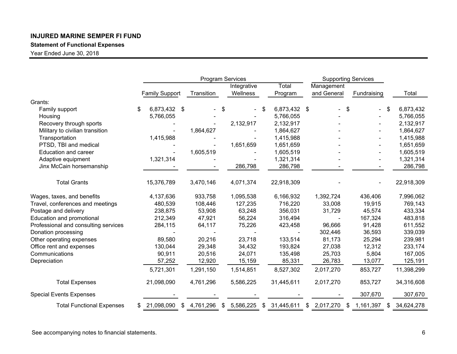# **Statement of Functional Expenses**

|                                      |                       | Program Services |            |    |             |    |              |    | <b>Supporting Services</b> |                                 |            |
|--------------------------------------|-----------------------|------------------|------------|----|-------------|----|--------------|----|----------------------------|---------------------------------|------------|
|                                      |                       |                  |            |    | Integrative |    | Total        |    | Management                 |                                 |            |
|                                      | <b>Family Support</b> |                  | Transition |    | Wellness    |    | Program      |    | and General                | Fundraising                     | Total      |
| Grants:                              |                       |                  |            |    |             |    |              |    |                            |                                 |            |
| Family support                       | \$<br>6,873,432 \$    |                  |            | \$ |             | \$ | 6,873,432 \$ |    |                            | \$<br>$\boldsymbol{\mathsf{s}}$ | 6,873,432  |
| Housing                              | 5,766,055             |                  |            |    |             |    | 5,766,055    |    |                            |                                 | 5,766,055  |
| Recovery through sports              |                       |                  |            |    | 2,132,917   |    | 2,132,917    |    |                            |                                 | 2,132,917  |
| Military to civilian transition      |                       |                  | 1,864,627  |    |             |    | 1,864,627    |    |                            |                                 | 1,864,627  |
| Transportation                       | 1,415,988             |                  |            |    |             |    | 1,415,988    |    |                            |                                 | 1,415,988  |
| PTSD, TBI and medical                |                       |                  |            |    | 1,651,659   |    | 1,651,659    |    |                            |                                 | 1,651,659  |
| <b>Education and career</b>          |                       |                  | 1,605,519  |    |             |    | 1,605,519    |    |                            |                                 | 1,605,519  |
| Adaptive equipment                   | 1,321,314             |                  |            |    |             |    | 1,321,314    |    |                            |                                 | 1,321,314  |
| Jinx McCain horsemanship             |                       |                  |            |    | 286,798     |    | 286,798      |    |                            |                                 | 286,798    |
| <b>Total Grants</b>                  | 15,376,789            |                  | 3,470,146  |    | 4,071,374   |    | 22,918,309   |    |                            |                                 | 22,918,309 |
| Wages, taxes, and benefits           | 4,137,636             |                  | 933,758    |    | 1,095,538   |    | 6,166,932    |    | 1,392,724                  | 436,406                         | 7,996,062  |
| Travel, conferences and meetings     | 480,539               |                  | 108,446    |    | 127,235     |    | 716,220      |    | 33,008                     | 19,915                          | 769,143    |
| Postage and delivery                 | 238,875               |                  | 53,908     |    | 63,248      |    | 356,031      |    | 31,729                     | 45,574                          | 433,334    |
| Education and promotional            | 212,349               |                  | 47,921     |    | 56,224      |    | 316,494      |    |                            | 167,324                         | 483,818    |
| Professional and consulting services | 284,115               |                  | 64,117     |    | 75,226      |    | 423,458      |    | 96,666                     | 91,428                          | 611,552    |
| Donation processing                  |                       |                  |            |    |             |    |              |    | 302,446                    | 36,593                          | 339,039    |
| Other operating expenses             | 89,580                |                  | 20,216     |    | 23,718      |    | 133,514      |    | 81,173                     | 25,294                          | 239,981    |
| Office rent and expenses             | 130,044               |                  | 29,348     |    | 34,432      |    | 193,824      |    | 27,038                     | 12,312                          | 233,174    |
| Communications                       | 90,911                |                  | 20,516     |    | 24,071      |    | 135,498      |    | 25,703                     | 5,804                           | 167,005    |
| Depreciation                         | 57,252                |                  | 12,920     |    | 15,159      |    | 85,331       |    | 26,783                     | 13,077                          | 125,191    |
|                                      | 5,721,301             |                  | 1,291,150  |    | 1,514,851   |    | 8,527,302    |    | 2,017,270                  | 853,727                         | 11,398,299 |
| <b>Total Expenses</b>                | 21,098,090            |                  | 4,761,296  |    | 5,586,225   |    | 31,445,611   |    | 2,017,270                  | 853,727                         | 34,316,608 |
| <b>Special Events Expenses</b>       |                       |                  |            |    |             |    |              |    |                            | 307,670                         | 307,670    |
| <b>Total Functional Expenses</b>     | \$<br>21,098,090      | \$               | 4,761,296  | \$ | 5,586,225   | \$ | 31,445,611   | \$ | 2,017,270                  | \$<br>1,161,397<br>\$           | 34,624,278 |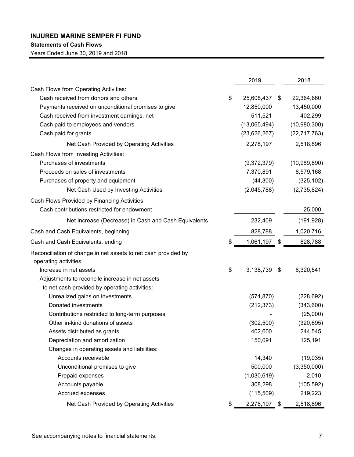# **Statements of Cash Flows**

Years Ended June 30, 2019 and 2018

|                                                                |    | 2019         | 2018             |
|----------------------------------------------------------------|----|--------------|------------------|
| Cash Flows from Operating Activities:                          |    |              |                  |
| Cash received from donors and others                           | \$ | 25,608,437   | \$<br>22,364,660 |
| Payments received on unconditional promises to give            |    | 12,850,000   | 13,450,000       |
| Cash received from investment earnings, net                    |    | 511,521      | 402,299          |
| Cash paid to employees and vendors                             |    | (13,065,494) | (10,980,300)     |
| Cash paid for grants                                           |    | (23,626,267) | (22, 717, 763)   |
| Net Cash Provided by Operating Activities                      |    | 2,278,197    | 2,518,896        |
| Cash Flows from Investing Activities:                          |    |              |                  |
| Purchases of investments                                       |    | (9,372,379)  | (10,989,890)     |
| Proceeds on sales of investments                               |    | 7,370,891    | 8,579,168        |
| Purchases of property and equipment                            |    | (44,300)     | (325, 102)       |
| Net Cash Used by Investing Activities                          |    | (2,045,788)  | (2,735,824)      |
| Cash Flows Provided by Financing Activities:                   |    |              |                  |
| Cash contributions restricted for endowment                    |    |              | 25,000           |
| Net Increase (Decrease) in Cash and Cash Equivalents           |    | 232,409      | (191, 928)       |
| Cash and Cash Equivalents, beginning                           |    | 828,788      | 1,020,716        |
| Cash and Cash Equivalents, ending                              | S  | 1,061,197    | \$<br>828,788    |
| Reconciliation of change in net assets to net cash provided by |    |              |                  |
| operating activities:                                          |    |              |                  |
| Increase in net assets                                         | \$ | 3,138,739    | \$<br>6,320,541  |
| Adjustments to reconcile increase in net assets                |    |              |                  |
| to net cash provided by operating activities:                  |    |              |                  |
| Unrealized gains on investments                                |    | (574, 870)   | (228, 692)       |
| Donated investments                                            |    | (212, 373)   | (343,600)        |
| Contributions restricted to long-term purposes                 |    |              | (25,000)         |
| Other in-kind donations of assets                              |    | (302, 500)   | (320, 695)       |
| Assets distributed as grants                                   |    | 402,600      | 244,545          |
| Depreciation and amortization                                  |    | 150,091      | 125,191          |
| Changes in operating assets and liabilities:                   |    |              |                  |
| Accounts receivable                                            |    | 14,340       | (19,035)         |
| Unconditional promises to give                                 |    | 500,000      | (3,350,000)      |
| Prepaid expenses                                               |    | (1,030,619)  | 2,010            |
| Accounts payable                                               |    | 308,298      | (105, 592)       |
| Accrued expenses                                               |    | (115,509)    | 219,223          |
| Net Cash Provided by Operating Activities                      | \$ | 2,278,197 \$ | 2,518,896        |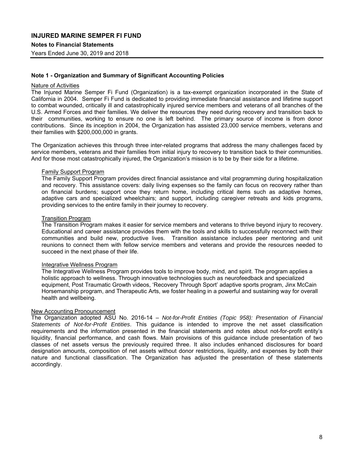## **Notes to Financial Statements**

Years Ended June 30, 2019 and 2018

### **Note 1 - Organization and Summary of Significant Accounting Policies**

#### Nature of Activities

The Injured Marine Semper Fi Fund (Organization) is a tax-exempt organization incorporated in the State of California in 2004. Semper Fi Fund is dedicated to providing immediate financial assistance and lifetime support to combat wounded, critically ill and catastrophically injured service members and veterans of all branches of the U.S. Armed Forces and their families. We deliver the resources they need during recovery and transition back to their communities, working to ensure no one is left behind. The primary source of income is from donor contributions. Since its inception in 2004, the Organization has assisted 23,000 service members, veterans and their families with \$200,000,000 in grants.

The Organization achieves this through three inter-related programs that address the many challenges faced by service members, veterans and their families from initial injury to recovery to transition back to their communities. And for those most catastrophically injured, the Organization's mission is to be by their side for a lifetime.

#### Family Support Program

The Family Support Program provides direct financial assistance and vital programming during hospitalization and recovery. This assistance covers: daily living expenses so the family can focus on recovery rather than on financial burdens; support once they return home, including critical items such as adaptive homes, adaptive cars and specialized wheelchairs; and support, including caregiver retreats and kids programs, providing services to the entire family in their journey to recovery.

#### Transition Program

The Transition Program makes it easier for service members and veterans to thrive beyond injury to recovery. Educational and career assistance provides them with the tools and skills to successfully reconnect with their communities and build new, productive lives. Transition assistance includes peer mentoring and unit reunions to connect them with fellow service members and veterans and provide the resources needed to succeed in the next phase of their life.

#### Integrative Wellness Program

The Integrative Wellness Program provides tools to improve body, mind, and spirit. The program applies a holistic approach to wellness. Through innovative technologies such as neurofeedback and specialized equipment, Post Traumatic Growth videos, 'Recovery Through Sport' adaptive sports program, Jinx McCain Horsemanship program, and Therapeutic Arts, we foster healing in a powerful and sustaining way for overall health and wellbeing.

## New Accounting Pronouncement

The Organization adopted ASU No. 2016-14 – *Not-for-Profit Entities (Topic 958): Presentation of Financial Statements of Not-for-Profit Entities*. This guidance is intended to improve the net asset classification requirements and the information presented in the financial statements and notes about not-for-profit entity's liquidity, financial performance, and cash flows. Main provisions of this guidance include presentation of two classes of net assets versus the previously required three. It also includes enhanced disclosures for board designation amounts, composition of net assets without donor restrictions, liquidity, and expenses by both their nature and functional classification. The Organization has adjusted the presentation of these statements accordingly.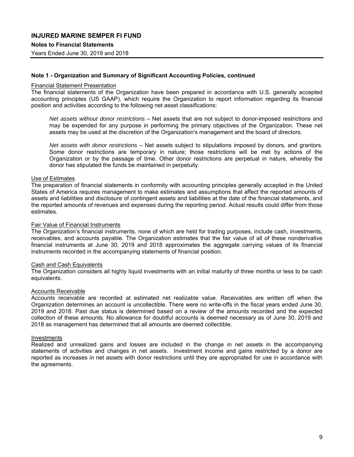## **Notes to Financial Statements**

Years Ended June 30, 2019 and 2018

#### **Note 1 - Organization and Summary of Significant Accounting Policies, continued**

### Financial Statement Presentation

The financial statements of the Organization have been prepared in accordance with U.S. generally accepted accounting principles (US GAAP), which require the Organization to report information regarding its financial position and activities according to the following net asset classifications:

*Net assets without donor restrictions* – Net assets that are not subject to donor-imposed restrictions and may be expended for any purpose in performing the primary objectives of the Organization. These net assets may be used at the discretion of the Organization's management and the board of directors.

*Net assets with donor restrictions* – Net assets subject to stipulations imposed by donors, and grantors. Some donor restrictions are temporary in nature; those restrictions will be met by actions of the Organization or by the passage of time. Other donor restrictions are perpetual in nature, whereby the donor has stipulated the funds be maintained in perpetuity.

#### Use of Estimates

The preparation of financial statements in conformity with accounting principles generally accepted in the United States of America requires management to make estimates and assumptions that affect the reported amounts of assets and liabilities and disclosure of contingent assets and liabilities at the date of the financial statements, and the reported amounts of revenues and expenses during the reporting period. Actual results could differ from those estimates.

#### Fair Value of Financial Instruments

The Organization's financial instruments, none of which are held for trading purposes, include cash, investments, receivables, and accounts payable. The Organization estimates that the fair value of all of these nonderivative financial instruments at June 30, 2019 and 2018 approximates the aggregate carrying values of its financial instruments recorded in the accompanying statements of financial position.

#### Cash and Cash Equivalents

The Organization considers all highly liquid investments with an initial maturity of three months or less to be cash equivalents.

#### Accounts Receivable

Accounts receivable are recorded at estimated net realizable value. Receivables are written off when the Organization determines an account is uncollectible. There were no write-offs in the fiscal years ended June 30, 2019 and 2018. Past due status is determined based on a review of the amounts recorded and the expected collection of these amounts. No allowance for doubtful accounts is deemed necessary as of June 30, 2019 and 2018 as management has determined that all amounts are deemed collectible.

#### Investments

Realized and unrealized gains and losses are included in the change in net assets in the accompanying statements of activities and changes in net assets. Investment income and gains restricted by a donor are reported as increases in net assets with donor restrictions until they are appropriated for use in accordance with the agreements.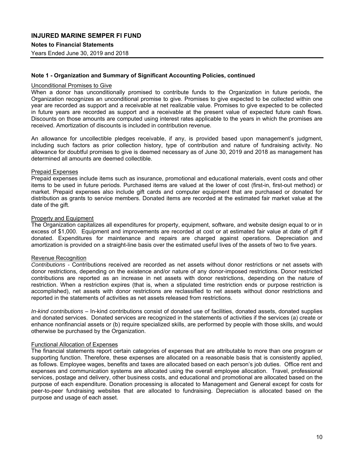# **Note 1 - Organization and Summary of Significant Accounting Policies, continued**

# Unconditional Promises to Give

When a donor has unconditionally promised to contribute funds to the Organization in future periods, the Organization recognizes an unconditional promise to give. Promises to give expected to be collected within one year are recorded as support and a receivable at net realizable value. Promises to give expected to be collected in future years are recorded as support and a receivable at the present value of expected future cash flows. Discounts on those amounts are computed using interest rates applicable to the years in which the promises are received. Amortization of discounts is included in contribution revenue.

An allowance for uncollectible pledges receivable, if any, is provided based upon management's judgment, including such factors as prior collection history, type of contribution and nature of fundraising activity. No allowance for doubtful promises to give is deemed necessary as of June 30, 2019 and 2018 as management has determined all amounts are deemed collectible.

# Prepaid Expenses

Prepaid expenses include items such as insurance, promotional and educational materials, event costs and other items to be used in future periods. Purchased items are valued at the lower of cost (first-in, first-out method) or market. Prepaid expenses also include gift cards and computer equipment that are purchased or donated for distribution as grants to service members. Donated items are recorded at the estimated fair market value at the date of the gift.

# Property and Equipment

The Organization capitalizes all expenditures for property, equipment, software, and website design equal to or in excess of \$1,000. Equipment and improvements are recorded at cost or at estimated fair value at date of gift if donated. Expenditures for maintenance and repairs are charged against operations. Depreciation and amortization is provided on a straight-line basis over the estimated useful lives of the assets of two to five years.

# Revenue Recognition

*Contributions -* Contributions received are recorded as net assets without donor restrictions or net assets with donor restrictions, depending on the existence and/or nature of any donor-imposed restrictions. Donor restricted contributions are reported as an increase in net assets with donor restrictions, depending on the nature of restriction. When a restriction expires (that is, when a stipulated time restriction ends or purpose restriction is accomplished), net assets with donor restrictions are reclassified to net assets without donor restrictions and reported in the statements of activities as net assets released from restrictions.

*In-kind contributions* – In-kind contributions consist of donated use of facilities, donated assets, donated supplies and donated services. Donated services are recognized in the statements of activities if the services (a) create or enhance nonfinancial assets or (b) require specialized skills, are performed by people with those skills, and would otherwise be purchased by the Organization.

# Functional Allocation of Expenses

The financial statements report certain categories of expenses that are attributable to more than one program or supporting function. Therefore, these expenses are allocated on a reasonable basis that is consistently applied, as follows. Employee wages, benefits and taxes are allocated based on each person's job duties. Office rent and expenses and communication systems are allocated using the overall employee allocation. Travel, professional services, postage and delivery, other business costs, and educational and promotional are allocated based on the purpose of each expenditure. Donation processing is allocated to Management and General except for costs for peer-to-peer fundraising websites that are allocated to fundraising. Depreciation is allocated based on the purpose and usage of each asset.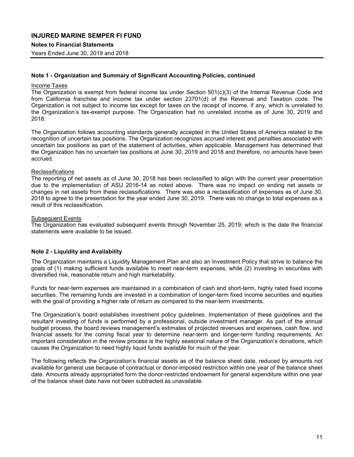## **Notes to Financial Statements**

Years Ended June 30, 2019 and 2018

## **Note 1 - Organization and Summary of Significant Accounting Policies, continued**

### Income Taxes

The Organization is exempt from federal income tax under Section 501(c)(3) of the Internal Revenue Code and from California franchise and income tax under section 23701(d) of the Revenue and Taxation code. The Organization is not subject to income tax except for taxes on the receipt of income, if any, which is unrelated to the Organization's tax-exempt purpose. The Organization had no unrelated income as of June 30, 2019 and 2018.

The Organization follows accounting standards generally accepted in the United States of America related to the recognition of uncertain tax positions. The Organization recognizes accrued interest and penalties associated with uncertain tax positions as part of the statement of activities, when applicable. Management has determined that the Organization has no uncertain tax positions at June 30, 2019 and 2018 and therefore, no amounts have been accrued.

#### **Reclassifications**

The reporting of net assets as of June 30, 2018 has been reclassified to align with the current year presentation due to the implementation of ASU 2016-14 as noted above. There was no impact on ending net assets or changes in net assets from these reclassifications. There was also a reclassification of expenses as of June 30, 2018 to agree to the presentation for the year ended June 30, 2019. There was no change to total expenses as a result of this reclassification.

#### Subsequent Events

The Organization has evaluated subsequent events through November 25, 2019, which is the date the financial statements were available to be issued.

## **Note 2 - Liquidity and Availability**

The Organization maintains a Liquidity Management Plan and also an Investment Policy that strive to balance the goals of (1) making sufficient funds available to meet near-term expenses, while (2) investing in securities with diversified risk, reasonable return and high marketability.

Funds for near-term expenses are maintained in a combination of cash and short-term, highly rated fixed income securities. The remaining funds are invested in a combination of longer-term fixed income securities and equities with the goal of providing a higher rate of return as compared to the near-term investments.

The Organization's board establishes investment policy guidelines. Implementation of these guidelines and the resultant investing of funds is performed by a professional, outside investment manager. As part of the annual budget process, the board reviews management's estimates of projected revenues and expenses, cash flow, and financial assets for the coming fiscal year to determine near-term and longer-term funding requirements. An important consideration in the review process is the highly seasonal nature of the Organization's donations, which causes the Organization to need highly liquid funds available for much of the year.

The following reflects the Organization's financial assets as of the balance sheet date, reduced by amounts not available for general use because of contractual or donor-imposed restriction within one year of the balance sheet date. Amounts already appropriated form the donor-restricted endowment for general expenditure within one year of the balance sheet date have not been subtracted as unavailable.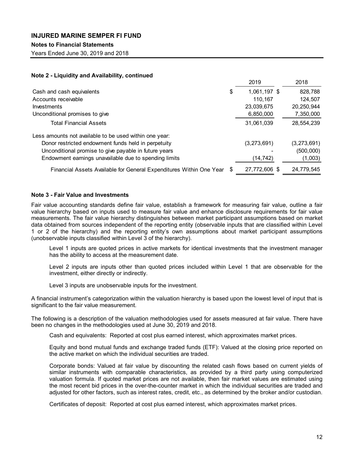# **Notes to Financial Statements**

Years Ended June 30, 2019 and 2018

# **Note 2 - Liquidity and Availability, continued**

|                                                                     |    | 2019          | 2018        |
|---------------------------------------------------------------------|----|---------------|-------------|
| Cash and cash equivalents                                           | \$ | 1,061,197 \$  | 828,788     |
| Accounts receivable                                                 |    | 110.167       | 124,507     |
| Investments                                                         |    | 23,039,675    | 20,250,944  |
| Unconditional promises to give                                      |    | 6,850,000     | 7,350,000   |
| <b>Total Financial Assets</b>                                       |    | 31,061,039    | 28,554,239  |
| Less amounts not available to be used within one year:              |    |               |             |
| Donor restricted endowment funds held in perpetuity                 |    | (3,273,691)   | (3,273,691) |
| Unconditional promise to give payable in future years               |    |               | (500,000)   |
| Endowment earnings unavailable due to spending limits               |    | (14, 742)     | (1,003)     |
| Financial Assets Available for General Expenditures Within One Year | S  | 27,772,606 \$ | 24,779,545  |

# **Note 3 - Fair Value and Investments**

Fair value accounting standards define fair value, establish a framework for measuring fair value, outline a fair value hierarchy based on inputs used to measure fair value and enhance disclosure requirements for fair value measurements. The fair value hierarchy distinguishes between market participant assumptions based on market data obtained from sources independent of the reporting entity (observable inputs that are classified within Level 1 or 2 of the hierarchy) and the reporting entity's own assumptions about market participant assumptions (unobservable inputs classified within Level 3 of the hierarchy).

Level 1 inputs are quoted prices in active markets for identical investments that the investment manager has the ability to access at the measurement date.

Level 2 inputs are inputs other than quoted prices included within Level 1 that are observable for the investment, either directly or indirectly.

Level 3 inputs are unobservable inputs for the investment.

A financial instrument's categorization within the valuation hierarchy is based upon the lowest level of input that is significant to the fair value measurement.

The following is a description of the valuation methodologies used for assets measured at fair value. There have been no changes in the methodologies used at June 30, 2019 and 2018.

Cash and equivalents: Reported at cost plus earned interest, which approximates market prices.

Equity and bond mutual funds and exchange traded funds (ETF): Valued at the closing price reported on the active market on which the individual securities are traded.

Corporate bonds: Valued at fair value by discounting the related cash flows based on current yields of similar instruments with comparable characteristics, as provided by a third party using computerized valuation formula. If quoted market prices are not available, then fair market values are estimated using the most recent bid prices in the over-the-counter market in which the individual securities are traded and adjusted for other factors, such as interest rates, credit, etc., as determined by the broker and/or custodian.

Certificates of deposit: Reported at cost plus earned interest, which approximates market prices.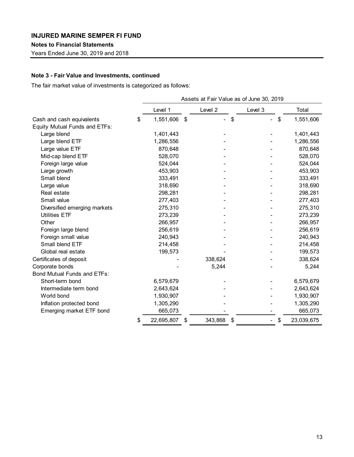# **Note 3 - Fair Value and Investments, continued**

The fair market value of investments is categorized as follows:

|                                      | Assets at Fair Value as of June 30, 2019 |            |               |                    |    |         |            |
|--------------------------------------|------------------------------------------|------------|---------------|--------------------|----|---------|------------|
|                                      |                                          | Level 1    |               | Level <sub>2</sub> |    | Level 3 | Total      |
| Cash and cash equivalents            | \$                                       | 1,551,606  | $\sqrt[6]{2}$ |                    | \$ | \$      | 1,551,606  |
| <b>Equity Mutual Funds and ETFs:</b> |                                          |            |               |                    |    |         |            |
| Large blend                          |                                          | 1,401,443  |               |                    |    |         | 1,401,443  |
| Large blend ETF                      |                                          | 1,286,556  |               |                    |    |         | 1,286,556  |
| Large value ETF                      |                                          | 870,648    |               |                    |    |         | 870,648    |
| Mid-cap blend ETF                    |                                          | 528,070    |               |                    |    |         | 528,070    |
| Foreign large value                  |                                          | 524,044    |               |                    |    |         | 524,044    |
| Large growth                         |                                          | 453,903    |               |                    |    |         | 453,903    |
| Small blend                          |                                          | 333,491    |               |                    |    |         | 333,491    |
| Large value                          |                                          | 318,690    |               |                    |    |         | 318,690    |
| Real estate                          |                                          | 298,281    |               |                    |    |         | 298,281    |
| Small value                          |                                          | 277,403    |               |                    |    |         | 277,403    |
| Diversified emerging markets         |                                          | 275,310    |               |                    |    |         | 275,310    |
| <b>Utilities ETF</b>                 |                                          | 273,239    |               |                    |    |         | 273,239    |
| Other                                |                                          | 266,957    |               |                    |    |         | 266,957    |
| Foreign large blend                  |                                          | 256,619    |               |                    |    |         | 256,619    |
| Foreign small value                  |                                          | 240,943    |               |                    |    |         | 240,943    |
| Small blend ETF                      |                                          | 214,458    |               |                    |    |         | 214,458    |
| Global real estate                   |                                          | 199,573    |               |                    |    |         | 199,573    |
| Certificates of deposit              |                                          |            |               | 338,624            |    |         | 338,624    |
| Corporate bonds                      |                                          |            |               | 5,244              |    |         | 5,244      |
| Bond Mutual Funds and ETFs:          |                                          |            |               |                    |    |         |            |
| Short-term bond                      |                                          | 6,579,679  |               |                    |    |         | 6,579,679  |
| Intermediate term bond               |                                          | 2,643,624  |               |                    |    |         | 2,643,624  |
| World bond                           |                                          | 1,930,907  |               |                    |    |         | 1,930,907  |
| Inflation protected bond             |                                          | 1,305,290  |               |                    |    |         | 1,305,290  |
| Emerging market ETF bond             |                                          | 665,073    |               |                    |    |         | 665,073    |
|                                      | \$                                       | 22,695,807 | \$            | 343,868            | \$ | \$      | 23,039,675 |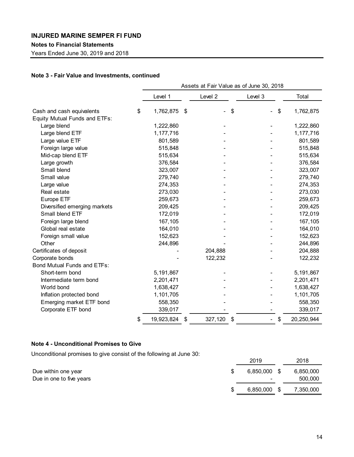**Notes to Financial Statements** 

Years Ended June 30, 2019 and 2018

## **Note 3 - Fair Value and Investments, continued**

|                               | Assets at Fair Value as of June 30, 2018 |    |                    |    |         |            |  |  |
|-------------------------------|------------------------------------------|----|--------------------|----|---------|------------|--|--|
|                               | Level 1                                  |    | Level <sub>2</sub> |    | Level 3 | Total      |  |  |
| Cash and cash equivalents     | \$<br>1,762,875                          | \$ |                    | \$ | \$      | 1,762,875  |  |  |
| Equity Mutual Funds and ETFs: |                                          |    |                    |    |         |            |  |  |
| Large blend                   | 1,222,860                                |    |                    |    |         | 1,222,860  |  |  |
| Large blend ETF               | 1,177,716                                |    |                    |    |         | 1,177,716  |  |  |
| Large value ETF               | 801,589                                  |    |                    |    |         | 801,589    |  |  |
| Foreign large value           | 515,848                                  |    |                    |    |         | 515,848    |  |  |
| Mid-cap blend ETF             | 515,634                                  |    |                    |    |         | 515,634    |  |  |
| Large growth                  | 376,584                                  |    |                    |    |         | 376,584    |  |  |
| Small blend                   | 323,007                                  |    |                    |    |         | 323,007    |  |  |
| Small value                   | 279,740                                  |    |                    |    |         | 279,740    |  |  |
| Large value                   | 274,353                                  |    |                    |    |         | 274,353    |  |  |
| Real estate                   | 273,030                                  |    |                    |    |         | 273,030    |  |  |
| Europe ETF                    | 259,673                                  |    |                    |    |         | 259,673    |  |  |
| Diversified emerging markets  | 209,425                                  |    |                    |    |         | 209,425    |  |  |
| Small blend ETF               | 172,019                                  |    |                    |    |         | 172,019    |  |  |
| Foreign large blend           | 167,105                                  |    |                    |    |         | 167,105    |  |  |
| Global real estate            | 164,010                                  |    |                    |    |         | 164,010    |  |  |
| Foreign small value           | 152,623                                  |    |                    |    |         | 152,623    |  |  |
| Other                         | 244,896                                  |    |                    |    |         | 244,896    |  |  |
| Certificates of deposit       |                                          |    | 204,888            |    |         | 204,888    |  |  |
| Corporate bonds               |                                          |    | 122,232            |    |         | 122,232    |  |  |
| Bond Mutual Funds and ETFs:   |                                          |    |                    |    |         |            |  |  |
| Short-term bond               | 5,191,867                                |    |                    |    |         | 5,191,867  |  |  |
| Intermediate term bond        | 2,201,471                                |    |                    |    |         | 2,201,471  |  |  |
| World bond                    | 1,638,427                                |    |                    |    |         | 1,638,427  |  |  |
| Inflation protected bond      | 1,101,705                                |    |                    |    |         | 1,101,705  |  |  |
| Emerging market ETF bond      | 558,350                                  |    |                    |    |         | 558,350    |  |  |
| Corporate ETF bond            | 339,017                                  |    |                    |    |         | 339,017    |  |  |
|                               | \$<br>19,923,824                         | \$ | 327,120            | \$ | \$<br>÷ | 20,250,944 |  |  |

# **Note 4 - Unconditional Promises to Give**

Unconditional promises to give consist of the following at June 30:

|                          | 2019                     | 2018      |
|--------------------------|--------------------------|-----------|
| Due within one year      | 6.850.000 \$             | 6,850,000 |
| Due in one to five years | $\overline{\phantom{a}}$ | 500,000   |
|                          | $6,850,000$ \$           | 7,350,000 |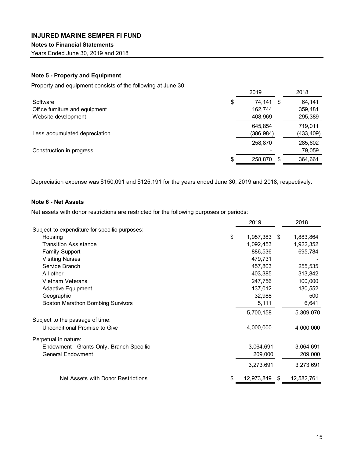## **Note 5 - Property and Equipment**

Property and equipment consists of the following at June 30:

|                                | <b>ZU 19</b>  |      | 2018       |
|--------------------------------|---------------|------|------------|
| Software                       | \$<br>74,141  | - \$ | 64,141     |
| Office furniture and equipment | 162,744       |      | 359,481    |
| Website development            | 408,969       |      | 295,389    |
|                                | 645,854       |      | 719,011    |
| Less accumulated depreciation  | (386, 984)    |      | (433, 409) |
|                                | 258,870       |      | 285,602    |
| Construction in progress       |               |      | 79,059     |
|                                | \$<br>258,870 | - \$ | 364,661    |
|                                |               |      |            |

2019 2018

Depreciation expense was \$150,091 and \$125,191 for the years ended June 30, 2019 and 2018, respectively.

## **Note 6 - Net Assets**

Net assets with donor restrictions are restricted for the following purposes or periods:

|                                               | 2019               | 2018             |
|-----------------------------------------------|--------------------|------------------|
| Subject to expenditure for specific purposes: |                    |                  |
| Housing                                       | \$<br>1,957,383 \$ | 1,883,864        |
| <b>Transition Assistance</b>                  | 1,092,453          | 1,922,352        |
| <b>Family Support</b>                         | 886,536            | 695,784          |
| <b>Visiting Nurses</b>                        | 479,731            |                  |
| Service Branch                                | 457,803            | 255,535          |
| All other                                     | 403,385            | 313,842          |
| <b>Vietnam Veterans</b>                       | 247,756            | 100,000          |
| <b>Adaptive Equipment</b>                     | 137,012            | 130,552          |
| Geographic                                    | 32,988             | 500              |
| <b>Boston Marathon Bombing Survivors</b>      | 5,111              | 6,641            |
|                                               | 5,700,158          | 5,309,070        |
| Subject to the passage of time:               |                    |                  |
| Unconditional Promise to Give                 | 4,000,000          | 4,000,000        |
| Perpetual in nature:                          |                    |                  |
| Endowment - Grants Only, Branch Specific      | 3,064,691          | 3,064,691        |
| <b>General Endowment</b>                      | 209,000            | 209,000          |
|                                               | 3,273,691          | 3,273,691        |
| Net Assets with Donor Restrictions            | \$<br>12,973,849   | \$<br>12,582,761 |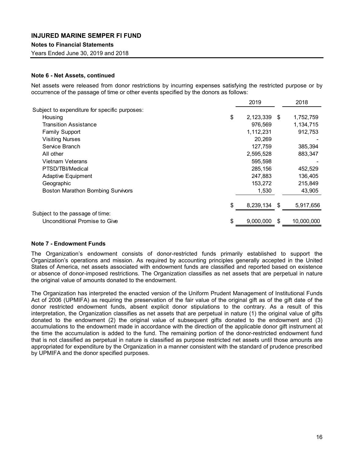## **Note 6 - Net Assets, continued**

Net assets were released from donor restrictions by incurring expenses satisfying the restricted purpose or by occurrence of the passage of time or other events specified by the donors as follows:

|                                               |     | 2019      |      | 2018       |
|-----------------------------------------------|-----|-----------|------|------------|
| Subject to expenditure for specific purposes: |     |           |      |            |
| Housing                                       | \$  | 2,123,339 | - \$ | 1,752,759  |
| <b>Transition Assistance</b>                  |     | 976,569   |      | 1,134,715  |
| <b>Family Support</b>                         |     | 1,112,231 |      | 912,753    |
| <b>Visiting Nurses</b>                        |     | 20,269    |      |            |
| Service Branch                                |     | 127,759   |      | 385,394    |
| All other                                     |     | 2,595,528 |      | 883,347    |
| Vietnam Veterans                              |     | 595.598   |      |            |
| PTSD/TBI/Medical                              |     | 285,156   |      | 452,529    |
| <b>Adaptive Equipment</b>                     |     | 247,883   |      | 136,405    |
| Geographic                                    |     | 153.272   |      | 215,849    |
| <b>Boston Marathon Bombing Survivors</b>      |     | 1,530     |      | 43,905     |
|                                               | \$. | 8,239,134 | \$   | 5,917,656  |
| Subject to the passage of time:               |     |           |      |            |
| Unconditional Promise to Give                 | \$  | 9,000,000 | -S   | 10,000,000 |

## **Note 7 - Endowment Funds**

The Organization's endowment consists of donor-restricted funds primarily established to support the Organization's operations and mission. As required by accounting principles generally accepted in the United States of America, net assets associated with endowment funds are classified and reported based on existence or absence of donor-imposed restrictions. The Organization classifies as net assets that are perpetual in nature the original value of amounts donated to the endowment.

The Organization has interpreted the enacted version of the Uniform Prudent Management of Institutional Funds Act of 2006 (UPMIFA) as requiring the preservation of the fair value of the original gift as of the gift date of the donor restricted endowment funds, absent explicit donor stipulations to the contrary. As a result of this interpretation, the Organization classifies as net assets that are perpetual in nature (1) the original value of gifts donated to the endowment (2) the original value of subsequent gifts donated to the endowment and (3) accumulations to the endowment made in accordance with the direction of the applicable donor gift instrument at the time the accumulation is added to the fund. The remaining portion of the donor-restricted endowment fund that is not classified as perpetual in nature is classified as purpose restricted net assets until those amounts are appropriated for expenditure by the Organization in a manner consistent with the standard of prudence prescribed by UPMIFA and the donor specified purposes.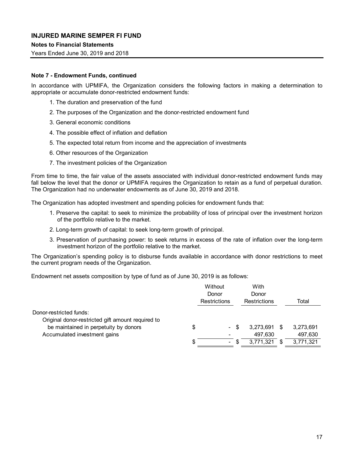## **Notes to Financial Statements**

Years Ended June 30, 2019 and 2018

### **Note 7 - Endowment Funds, continued**

In accordance with UPMIFA, the Organization considers the following factors in making a determination to appropriate or accumulate donor-restricted endowment funds:

- 1. The duration and preservation of the fund
- 2. The purposes of the Organization and the donor-restricted endowment fund
- 3. General economic conditions
- 4. The possible effect of inflation and deflation
- 5. The expected total return from income and the appreciation of investments
- 6. Other resources of the Organization
- 7. The investment policies of the Organization

From time to time, the fair value of the assets associated with individual donor-restricted endowment funds may fall below the level that the donor or UPMIFA requires the Organization to retain as a fund of perpetual duration. The Organization had no underwater endowments as of June 30, 2019 and 2018.

The Organization has adopted investment and spending policies for endowment funds that:

- 1. Preserve the capital: to seek to minimize the probability of loss of principal over the investment horizon of the portfolio relative to the market.
- 2. Long-term growth of capital: to seek long-term growth of principal.
- 3. Preservation of purchasing power: to seek returns in excess of the rate of inflation over the long-term investment horizon of the portfolio relative to the market.

The Organization's spending policy is to disburse funds available in accordance with donor restrictions to meet the current program needs of the Organization.

Endowment net assets composition by type of fund as of June 30, 2019 is as follows:

|                                                                              | Without<br>Donor<br><b>Restrictions</b> |    | With<br>Donor<br><b>Restrictions</b> |     | Total     |
|------------------------------------------------------------------------------|-----------------------------------------|----|--------------------------------------|-----|-----------|
| Donor-restricted funds:<br>Original donor-restricted gift amount required to |                                         |    |                                      |     |           |
| be maintained in perpetuity by donors                                        | \$<br>$\sim$                            | -S | 3,273,691                            | \$. | 3,273,691 |
| Accumulated investment gains                                                 |                                         |    | 497,630                              |     | 497,630   |
|                                                                              | \$<br>٠                                 |    | 3.771.321                            | \$. | 3,771,321 |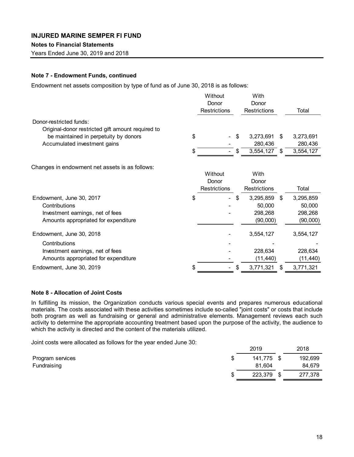# **Note 7 - Endowment Funds, continued**

Endowment net assets composition by type of fund as of June 30, 2018 is as follows:

|                                                   | Without      | With                |                 |
|---------------------------------------------------|--------------|---------------------|-----------------|
|                                                   | Donor        | Donor               |                 |
|                                                   | Restrictions | Restrictions        | Total           |
| Donor-restricted funds:                           |              |                     |                 |
| Original-donor restricted gift amount required to |              |                     |                 |
| be maintained in perpetuity by donors             | \$           | \$<br>3,273,691     | \$<br>3,273,691 |
| Accumulated investment gains                      |              | 280,436             | 280,436         |
|                                                   | \$           | 3,554,127           | \$<br>3,554,127 |
|                                                   |              |                     |                 |
| Changes in endowment net assets is as follows:    | Without      | With                |                 |
|                                                   | Donor        | Donor               |                 |
|                                                   | Restrictions | <b>Restrictions</b> | Total           |
|                                                   |              |                     |                 |
| Endowment, June 30, 2017                          | \$           | \$<br>3,295,859     | \$<br>3,295,859 |
| Contributions                                     |              | 50,000              | 50,000          |
| Investment earnings, net of fees                  |              | 298,268             | 298,268         |
| Amounts appropriated for expenditure              |              | (90,000)            | (90,000)        |
| Endowment, June 30, 2018                          |              | 3,554,127           | 3,554,127       |
| Contributions                                     |              |                     |                 |
| Investment earnings, net of fees                  |              | 228,634             | 228,634         |
| Amounts appropriated for expenditure              |              | (11, 440)           | (11, 440)       |
| Endowment, June 30, 2019                          | \$           | 3,771,321           | \$<br>3,771,321 |

# **Note 8 - Allocation of Joint Costs**

In fulfilling its mission, the Organization conducts various special events and prepares numerous educational materials. The costs associated with these activities sometimes include so-called "joint costs" or costs that include both program as well as fundraising or general and administrative elements. Management reviews each such activity to determine the appropriate accounting treatment based upon the purpose of the activity, the audience to which the activity is directed and the content of the materials utilized.

Joint costs were allocated as follows for the year ended June 30:

|                  | 2019             |      | 2018    |
|------------------|------------------|------|---------|
| Program services | \$<br>141,775 \$ |      | 192,699 |
| Fundraising      | 81.604           |      | 84,679  |
|                  | 223,379          | - \$ | 277,378 |